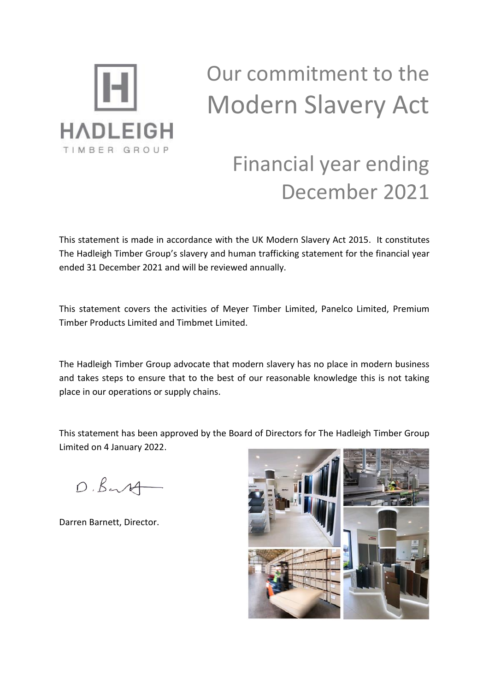

# Our commitment to the Modern Slavery Act

# Financial year ending December 2021

This statement is made in accordance with the UK Modern Slavery Act 2015. It constitutes The Hadleigh Timber Group's slavery and human trafficking statement for the financial year ended 31 December 2021 and will be reviewed annually.

This statement covers the activities of Meyer Timber Limited, Panelco Limited, Premium Timber Products Limited and Timbmet Limited.

The Hadleigh Timber Group advocate that modern slavery has no place in modern business and takes steps to ensure that to the best of our reasonable knowledge this is not taking place in our operations or supply chains.

This statement has been approved by the Board of Directors for The Hadleigh Timber Group Limited on 4 January 2022.

 $D.B.14$ 

Darren Barnett, Director.

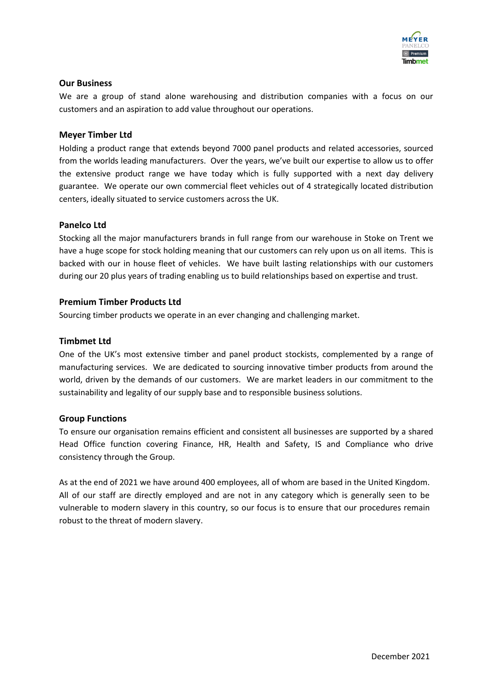

#### **Our Business**

We are a group of stand alone warehousing and distribution companies with a focus on our customers and an aspiration to add value throughout our operations.

#### **Meyer Timber Ltd**

Holding a product range that extends beyond 7000 panel products and related accessories, sourced from the worlds leading manufacturers. Over the years, we've built our expertise to allow us to offer the extensive product range we have today which is fully supported with a next day delivery guarantee. We operate our own commercial fleet vehicles out of 4 strategically located distribution centers, ideally situated to service customers across the UK.

#### **Panelco Ltd**

Stocking all the major manufacturers brands in full range from our warehouse in Stoke on Trent we have a huge scope for stock holding meaning that our customers can rely upon us on all items. This is backed with our in house fleet of vehicles. We have built lasting relationships with our customers during our 20 plus years of trading enabling us to build relationships based on expertise and trust.

#### **Premium Timber Products Ltd**

Sourcing timber products we operate in an ever changing and challenging market.

#### **Timbmet Ltd**

One of the UK's most extensive timber and panel product stockists, complemented by a range of manufacturing services. We are dedicated to sourcing innovative timber products from around the world, driven by the demands of our customers. We are market leaders in our commitment to the sustainability and legality of our supply base and to responsible business solutions.

#### **Group Functions**

To ensure our organisation remains efficient and consistent all businesses are supported by a shared Head Office function covering Finance, HR, Health and Safety, IS and Compliance who drive consistency through the Group.

As at the end of 2021 we have around 400 employees, all of whom are based in the United Kingdom. All of our staff are directly employed and are not in any category which is generally seen to be vulnerable to modern slavery in this country, so our focus is to ensure that our procedures remain robust to the threat of modern slavery.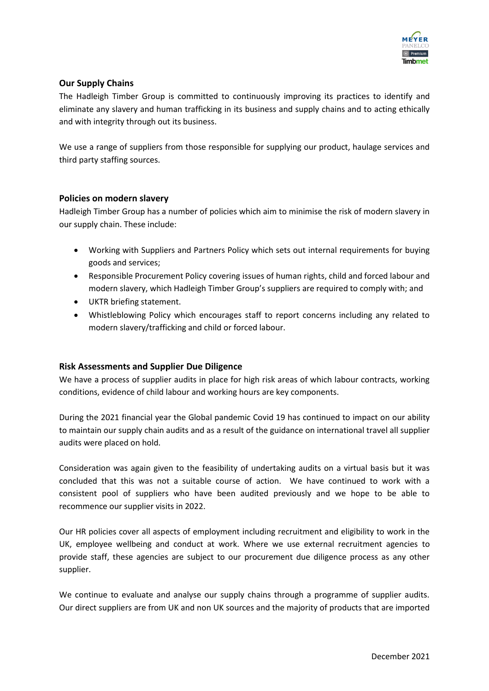

# **Our Supply Chains**

The Hadleigh Timber Group is committed to continuously improving its practices to identify and eliminate any slavery and human trafficking in its business and supply chains and to acting ethically and with integrity through out its business.

We use a range of suppliers from those responsible for supplying our product, haulage services and third party staffing sources.

# **Policies on modern slavery**

Hadleigh Timber Group has a number of policies which aim to minimise the risk of modern slavery in our supply chain. These include:

- Working with Suppliers and Partners Policy which sets out internal requirements for buying goods and services;
- Responsible Procurement Policy covering issues of human rights, child and forced labour and modern slavery, which Hadleigh Timber Group's suppliers are required to comply with; and
- UKTR briefing statement.
- Whistleblowing Policy which encourages staff to report concerns including any related to modern slavery/trafficking and child or forced labour.

# **Risk Assessments and Supplier Due Diligence**

We have a process of supplier audits in place for high risk areas of which labour contracts, working conditions, evidence of child labour and working hours are key components.

During the 2021 financial year the Global pandemic Covid 19 has continued to impact on our ability to maintain our supply chain audits and as a result of the guidance on international travel all supplier audits were placed on hold.

Consideration was again given to the feasibility of undertaking audits on a virtual basis but it was concluded that this was not a suitable course of action. We have continued to work with a consistent pool of suppliers who have been audited previously and we hope to be able to recommence our supplier visits in 2022.

Our HR policies cover all aspects of employment including recruitment and eligibility to work in the UK, employee wellbeing and conduct at work. Where we use external recruitment agencies to provide staff, these agencies are subject to our procurement due diligence process as any other supplier.

We continue to evaluate and analyse our supply chains through a programme of supplier audits. Our direct suppliers are from UK and non UK sources and the majority of products that are imported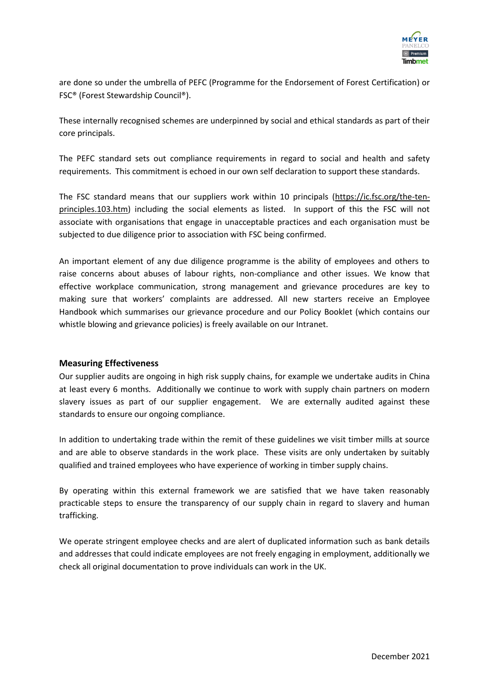

are done so under the umbrella of PEFC (Programme for the Endorsement of Forest Certification) or FSC® (Forest Stewardship Council®).

These internally recognised schemes are underpinned by social and ethical standards as part of their core principals.

The PEFC standard sets out compliance requirements in regard to social and health and safety requirements. This commitment is echoed in our own self declaration to support these standards.

The FSC standard means that our suppliers work within 10 principals [\(https://ic.fsc.org/the-ten](https://ic.fsc.org/the-ten-principles.103.htm)[principles.103.htm\)](https://ic.fsc.org/the-ten-principles.103.htm) including the social elements as listed. In support of this the FSC will not associate with organisations that engage in unacceptable practices and each organisation must be subjected to due diligence prior to association with FSC being confirmed.

An important element of any due diligence programme is the ability of employees and others to raise concerns about abuses of labour rights, non-compliance and other issues. We know that effective workplace communication, strong management and grievance procedures are key to making sure that workers' complaints are addressed. All new starters receive an Employee Handbook which summarises our grievance procedure and our Policy Booklet (which contains our whistle blowing and grievance policies) is freely available on our Intranet.

#### **Measuring Effectiveness**

Our supplier audits are ongoing in high risk supply chains, for example we undertake audits in China at least every 6 months. Additionally we continue to work with supply chain partners on modern slavery issues as part of our supplier engagement. We are externally audited against these standards to ensure our ongoing compliance.

In addition to undertaking trade within the remit of these guidelines we visit timber mills at source and are able to observe standards in the work place. These visits are only undertaken by suitably qualified and trained employees who have experience of working in timber supply chains.

By operating within this external framework we are satisfied that we have taken reasonably practicable steps to ensure the transparency of our supply chain in regard to slavery and human trafficking.

We operate stringent employee checks and are alert of duplicated information such as bank details and addresses that could indicate employees are not freely engaging in employment, additionally we check all original documentation to prove individuals can work in the UK.